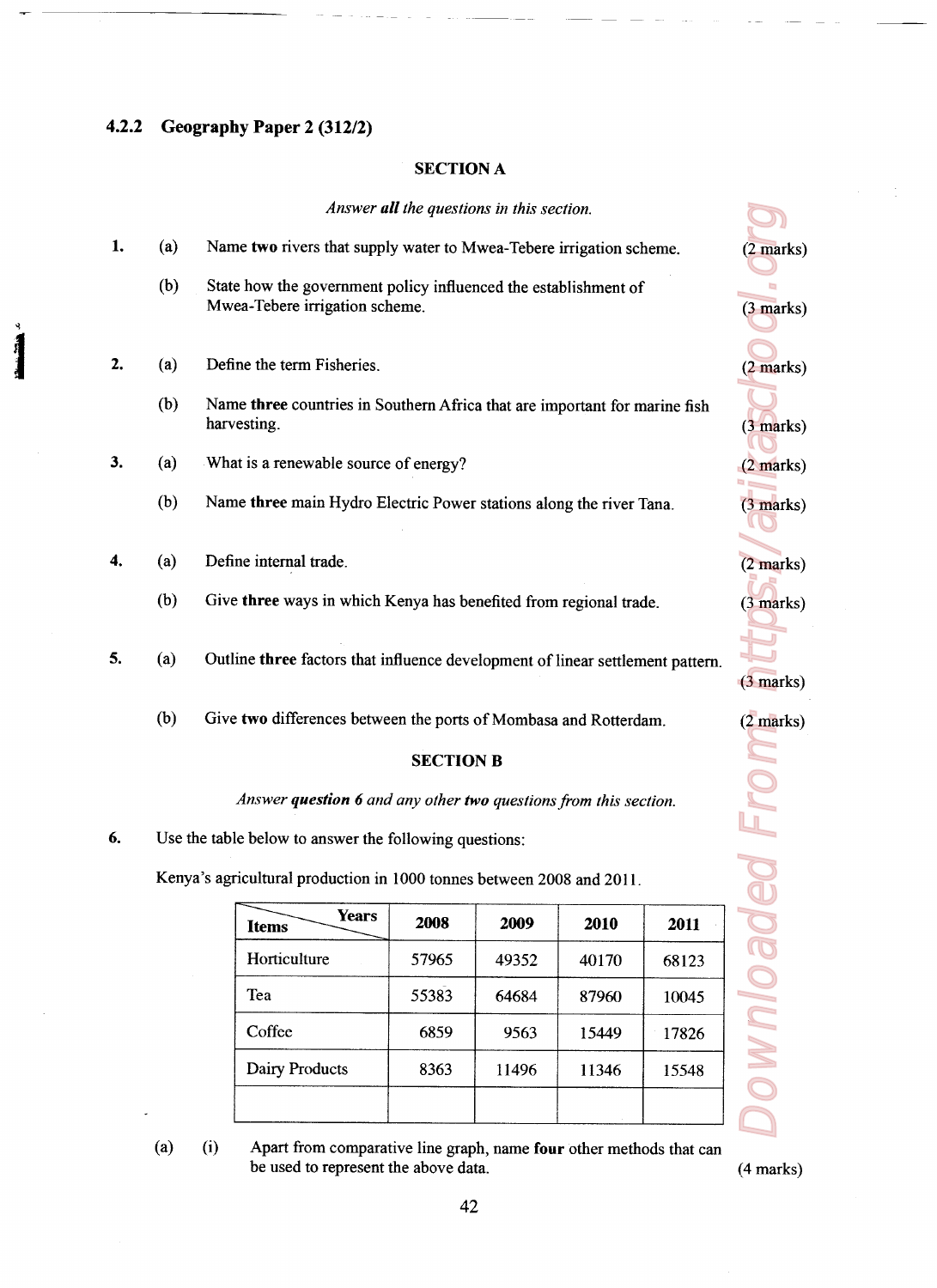## 4.2.2 Geography Paper 2 (312/2)

## SECTION A

**EXECTION A**<br> **EXECTION A**<br> **EXECTION A**<br> **EXECTION A**<br> **EXECTION A**<br> **EXECTION A**<br> **EXECTION A**<br> **EXECTION A**<br> **EXECTION A**<br> **EXECTION A**<br> **EXECTION A**<br> **EXECTION**<br> **EXECTION**<br> **EXECTION B**<br> **EXECTION B**<br> **EXECTION B**<br> **EXECTION A**<br>
SECTION A<br> *Answer all the questions in this section.*<br>
Let wo rivers that supply water to Mwea-Tebere irrigation scheme.<br>
Let be accretion above.<br>
The property influenced the establishment of<br>
reading the t **EXECTION A**<br>
SECTION A<br> *Answer all the questions in this section.*<br>
Let we divers that supply water to Mivee-Tebere irrigation scheme,<br>
be two rivers that supply water to Mivee-Tebere irrigation scheme,<br>
how the governm **SECTION A**<br>
SECTION A<br> *Answer all the questions in this section*.<br>
He two rivers that supply water to Mwea-Tebere irrigation scheme.<br>
blow the government policy influenced the establishment of<br>
an-Tebere irrigation sche **SECTION A**<br>
SECTION A<br> *Answer all the questions in this section.*<br>
Answer all the questions in this section.<br>
How the government policy influenced the establishment of<br>
rea-Tebere irrigation scheme.<br>
ne the term Fisherie **SECTION A**<br>
SECTION A<br>
SECTION A<br> *Answer all the questions in this section.*<br>
Le two rivers that supply water to Mwea-Tebere irrigation scheme.<br>
Then the term Fisheries.<br>
The Here countries in Southern Africa that are im (2 marks) (3 marks) (2 marks) (2 marks) (2 marks) (2 marks) (2 marks) (2 marks) (2 marks) (2 marks) (2 marks) (2 marks) (2 marks) (2 marks) (2 marks) (2 marks) (2 marks) (2 marks) (2 marks) (2 marks) (2 marks) (2 marks) (2 Answer all the questions in this section. 1. (a) Name two rivers that supply water to Mwea-Tebere irrigation scheme. (2 marks) (b) State how the government policy influenced the establishment of Mwea-Tebere irrigation scheme. (3 marks) 2. (a) Define the term Fisheries. (2 marks) (b) Name three countries in Southern Africa that are important for marine fish harvesting. (3 marks) 3. (a) What is a renewable source of energy? (2 marks) (b) Name three main Hydro Electric Power stations along the river Tana. (3 marks) 4. (a) Define internal trade. (2 marks) (b) Give three ways in which Kenya has benefited from regional trade. (3 marks) 5 (3) Outline three factors that influence development of linear settlement pattern. Ō, (3 marks) (b) Give two differences between the ports of Mombasa and Rotterdam. (2 marks) SECTION B **Downloaded Fro** Answer question 6 and any other two questions from this section.

6. Use the table below to answer the following questions:

Kenya's agricultural production in 1000 tonnes between 2008 and 2011.

| <b>Years</b><br><b>Items</b> | 2008  | 2009  | 2010           | 2011  |
|------------------------------|-------|-------|----------------|-------|
| Horticulture                 | 57965 | 49352 | 40170          | 68123 |
| Tea                          | 55383 | 64684 | 87960<br>10045 |       |
| Coffee                       | 6859  | 9563  | 15449          | 17826 |
| Dairy Products               | 8363  | 11496 | 11346          | 15548 |
|                              |       |       |                |       |

(a) (i) Apart from comparative line graph, name four other methods that can be used to represent the above data.

 $(4 marks)$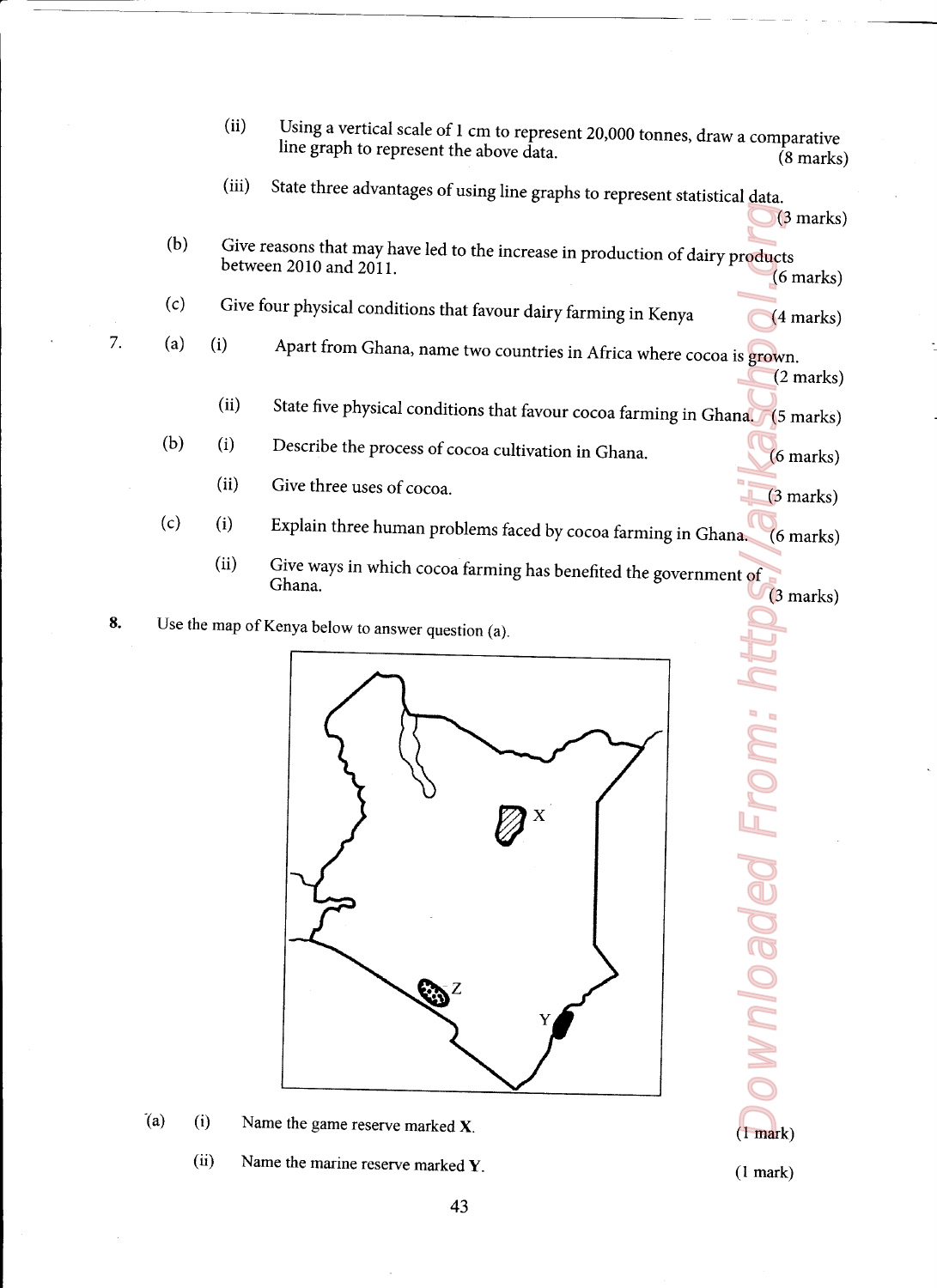- (ii) Using a vertical scale of 1 cm to represent 20,000 tonnes, draw a comparative line graph to represent the above data. (8 marks)
- (iii) State three advantages of using line graphs to represent statistical data,

(3 marks)

- (b) Give reasons that may have led to the increase in production of dairy products between 2010 and 2011.
- $(c)$ Give four physical conditions that favour dairy farming in Kenya (4 marks)
- (a)

7.

- (i) Apart from Ghana, name two countries in Africa where cocoa is grown. (2 marks)
	- (ii) State five physical conditions that favour cocoa farming in Ghana. (5 marks)
- (b) (i) Describe the process of cocoa cultivation in Ghana. (6 marks)
	- (ii) Give three uses of cocoa, (3 marks)

<u> 2002 - Jan Salam Barat, menyebarkan berasal di sebagai berasal dalam bagian berasal dalam berasal dalam bera</u>

- $(c)$ (i) Explain three human problems faced by cocoa farming in Ghana (6 marks)
- (ii) Give ways in which cocoa farming has benefited the government of Ghana. (3 marks) Sing a vertical scale of 1 cm to represent 20,000 tonn<br>the graph to represent the above data.<br>te three advantages of using line graphs to represent<br>ons that may have led to the increase in production<br>ons that may have led Product From: https://atikas.grownloaded.com/district Community of the Catalogue
- Use the map of Kenya below to answer question (a). 8.



- $(a)$ (i) Name the game reserve marked  $X$ . (1 mark)
	- (ii) Name the marine reserve marked  $Y$ . (1 mark)

**Noaded** Fror